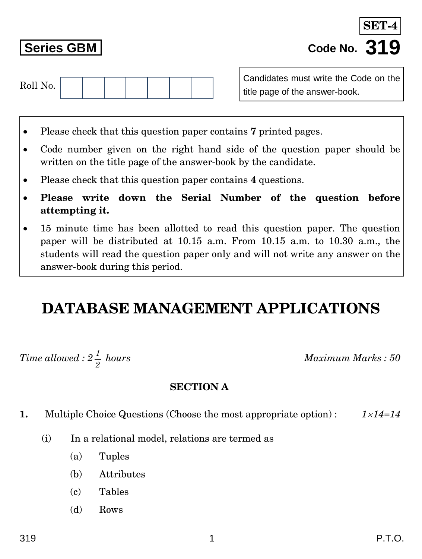# **1.** Multiple Choice Questions (Choose the most appropriate option) : *114=14*

- (i) In a relational model, relations are termed as
	- (a) Tuples

*1*

 $Time$  allowed : 2  $\frac{1}{2}$ 

- (b) Attributes
- (c) Tables
- (d) Rows

Roll No.

Candidates must write the Code on the title page of the answer-book.

- Please check that this question paper contains **7** printed pages.
- Code number given on the right hand side of the question paper should be written on the title page of the answer-book by the candidate.
- Please check that this question paper contains **4** questions.
- **Please write down the Serial Number of the question before attempting it.**
- 15 minute time has been allotted to read this question paper. The question paper will be distributed at 10.15 a.m. From 10.15 a.m. to 10.30 a.m., the students will read the question paper only and will not write any answer on the answer-book during this period.

## **DATABASE MANAGEMENT APPLICATIONS**

**SECTION A**

*hours Maximum Marks : 50*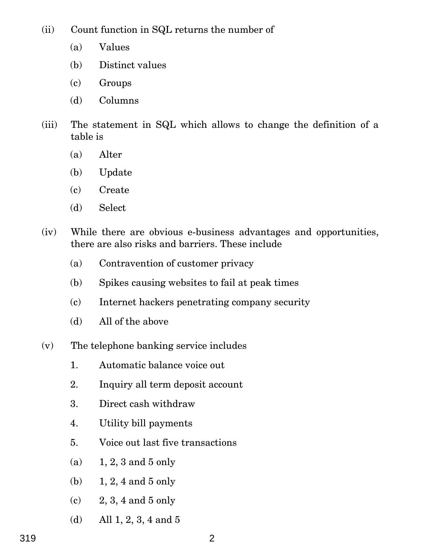(ii) Count function in SQL returns the number of

- (a) Values
- (b) Distinct values
- (c) Groups
- (d) Columns
- (iii) The statement in SQL which allows to change the definition of a table is
	- (a) Alter
	- (b) Update
	- (c) Create
	- (d) Select
- (iv) While there are obvious e-business advantages and opportunities, there are also risks and barriers. These include
	- (a) Contravention of customer privacy
	- (b) Spikes causing websites to fail at peak times
	- (c) Internet hackers penetrating company security
	- (d) All of the above
- (v) The telephone banking service includes
	- 1. Automatic balance voice out
	- 2. Inquiry all term deposit account
	- 3. Direct cash withdraw
	- 4. Utility bill payments
	- 5. Voice out last five transactions
	- (a) 1, 2, 3 and 5 only
	- (b) 1, 2, 4 and 5 only
	- (c) 2, 3, 4 and 5 only
	- (d) All 1, 2, 3, 4 and 5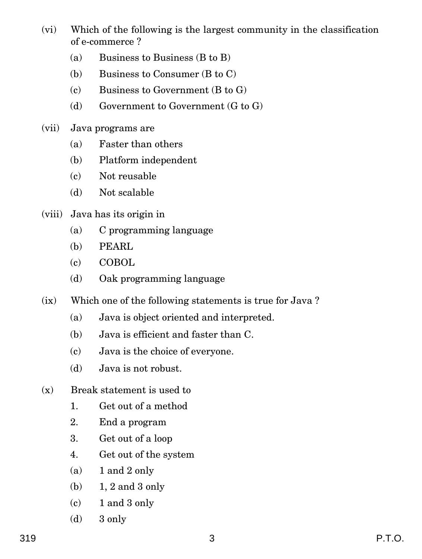- (vi) Which of the following is the largest community in the classification of e-commerce ?
	- (a) Business to Business (B to B)
	- (b) Business to Consumer (B to C)
	- (c) Business to Government (B to G)
	- (d) Government to Government (G to G)
- (vii) Java programs are
	- (a) Faster than others
	- (b) Platform independent
	- (c) Not reusable
	- (d) Not scalable
- (viii) Java has its origin in
	- (a) C programming language
	- (b) PEARL
	- (c) COBOL
	- (d) Oak programming language
- (ix) Which one of the following statements is true for Java ?
	- (a) Java is object oriented and interpreted.
	- (b) Java is efficient and faster than C.
	- (c) Java is the choice of everyone.
	- (d) Java is not robust.
- (x) Break statement is used to
	- 1. Get out of a method
	- 2. End a program
	- 3. Get out of a loop
	- 4. Get out of the system
	- $(a)$  1 and 2 only
	- (b) 1, 2 and 3 only
	- (c) 1 and 3 only
	- (d) 3 only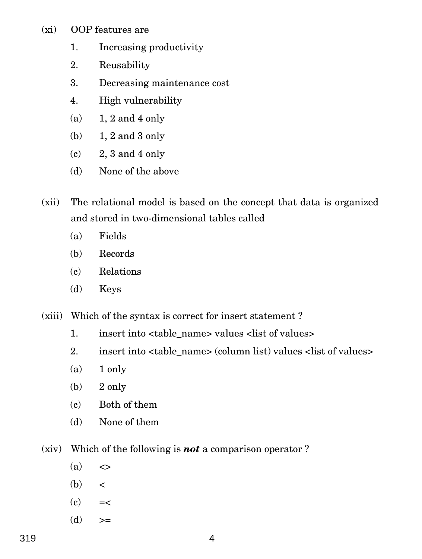- (xi) OOP features are
	- 1. Increasing productivity
	- 2. Reusability
	- 3. Decreasing maintenance cost
	- 4. High vulnerability
	- (a)  $1, 2$  and 4 only
	- (b) 1, 2 and 3 only
	- $(c)$  2, 3 and 4 only
	- (d) None of the above
- (xii) The relational model is based on the concept that data is organized and stored in two-dimensional tables called
	- (a) Fields
	- (b) Records
	- (c) Relations
	- (d) Keys
- (xiii) Which of the syntax is correct for insert statement ?
	- 1. insert into <table name> values <list of values>
	- 2. insert into  $\langle$  table name> (column list) values  $\langle$  list of values>
	- $(a)$  1 only
	- $(b)$  2 only
	- (c) Both of them
	- (d) None of them
- (xiv) Which of the following is *not* a comparison operator ?
	- $(a) \leq$
	- $(b) <$
	- $(c)$  =<
	- $(d)$  >=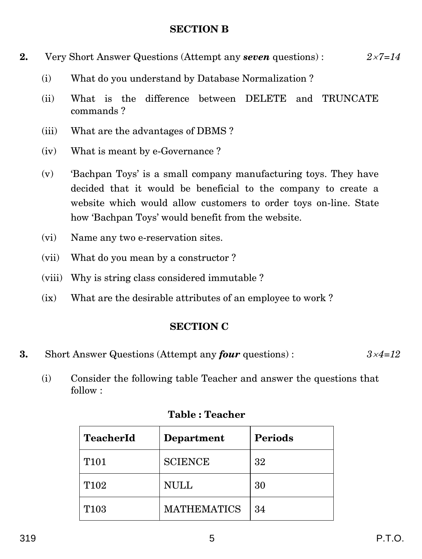#### **SECTION B**

- **2.** Very Short Answer Questions (Attempt any *seven* questions) : *27=14*
	- (i) What do you understand by Database Normalization ?
	- (ii) What is the difference between DELETE and TRUNCATE commands ?
	- (iii) What are the advantages of DBMS ?
	- (iv) What is meant by e-Governance ?
	- (v) 'Bachpan Toys' is a small company manufacturing toys. They have decided that it would be beneficial to the company to create a website which would allow customers to order toys on-line. State how 'Bachpan Toys' would benefit from the website.
	- (vi) Name any two e-reservation sites.
	- (vii) What do you mean by a constructor ?
	- (viii) Why is string class considered immutable ?
	- (ix) What are the desirable attributes of an employee to work ?

### **SECTION C**

- **3.** Short Answer Questions (Attempt any *four* questions) : *34=12*
	- (i) Consider the following table Teacher and answer the questions that follow :

| <b>TeacherId</b> | Department         | <b>Periods</b> |
|------------------|--------------------|----------------|
| T <sub>101</sub> | <b>SCIENCE</b>     | 32             |
| T <sub>102</sub> | NULL               | 30             |
| T <sub>103</sub> | <b>MATHEMATICS</b> | 34             |

### **Table : Teacher**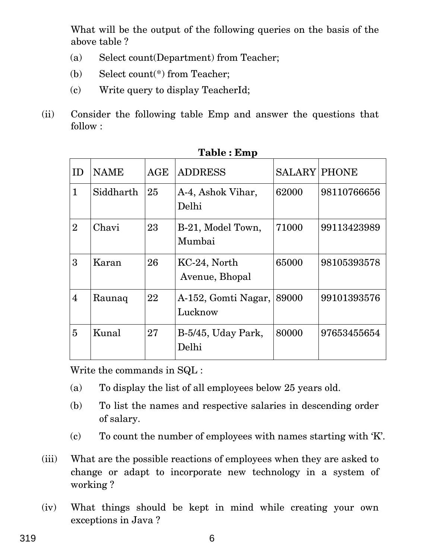What will be the output of the following queries on the basis of the above table ?

- (a) Select count(Department) from Teacher;
- (b) Select count(\*) from Teacher;
- (c) Write query to display TeacherId;
- (ii) Consider the following table Emp and answer the questions that follow :

| ID             | <b>NAME</b> | AGE | <b>ADDRESS</b>                 | <b>SALARY PHONE</b> |             |
|----------------|-------------|-----|--------------------------------|---------------------|-------------|
| $\mathbf{1}$   | Siddharth   | 25  | A-4, Ashok Vihar,<br>Delhi     | 62000               | 98110766656 |
| $\overline{2}$ | Chavi       | 23  | B-21, Model Town,<br>Mumbai    | 71000               | 99113423989 |
| 3              | Karan       | 26  | KC-24, North<br>Avenue, Bhopal | 65000               | 98105393578 |
| $\overline{4}$ | Raunaq      | 22  | A-152, Gomti Nagar,<br>Lucknow | 89000               | 99101393576 |
| 5              | Kunal       | 27  | B-5/45, Uday Park,<br>Delhi    | 80000               | 97653455654 |

**Table : Emp**

Write the commands in SQL :

- (a) To display the list of all employees below 25 years old.
- (b) To list the names and respective salaries in descending order of salary.
- (c) To count the number of employees with names starting with 'K'.
- (iii) What are the possible reactions of employees when they are asked to change or adapt to incorporate new technology in a system of working ?
- (iv) What things should be kept in mind while creating your own exceptions in Java ?